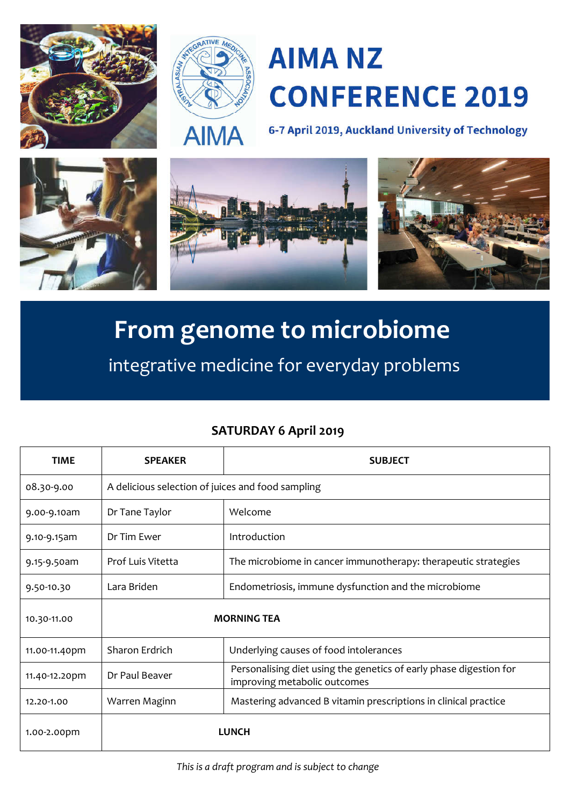



# **AIMA NZ CONFERENCE 2019**

6-7 April 2019, Auckland University of Technology



## **From genome to microbiome**

integrative medicine for everyday problems

### **SATURDAY 6 April 2019**

| <b>TIME</b>   | <b>SPEAKER</b>                                    | <b>SUBJECT</b>                                                                                     |
|---------------|---------------------------------------------------|----------------------------------------------------------------------------------------------------|
| 08.30-9.00    | A delicious selection of juices and food sampling |                                                                                                    |
| 9.00-9.10am   | Dr Tane Taylor                                    | Welcome                                                                                            |
| 9.10-9.15am   | Dr Tim Ewer                                       | Introduction                                                                                       |
| 9.15-9.50am   | Prof Luis Vitetta                                 | The microbiome in cancer immunotherapy: therapeutic strategies                                     |
| 9.50-10.30    | Lara Briden                                       | Endometriosis, immune dysfunction and the microbiome                                               |
| 10.30-11.00   | <b>MORNING TEA</b>                                |                                                                                                    |
| 11.00-11.40pm | Sharon Erdrich                                    | Underlying causes of food intolerances                                                             |
| 11.40-12.20pm | Dr Paul Beaver                                    | Personalising diet using the genetics of early phase digestion for<br>improving metabolic outcomes |
| 12.20-1.00    | Warren Maginn                                     | Mastering advanced B vitamin prescriptions in clinical practice                                    |
| 1.00-2.00pm   |                                                   | <b>LUNCH</b>                                                                                       |